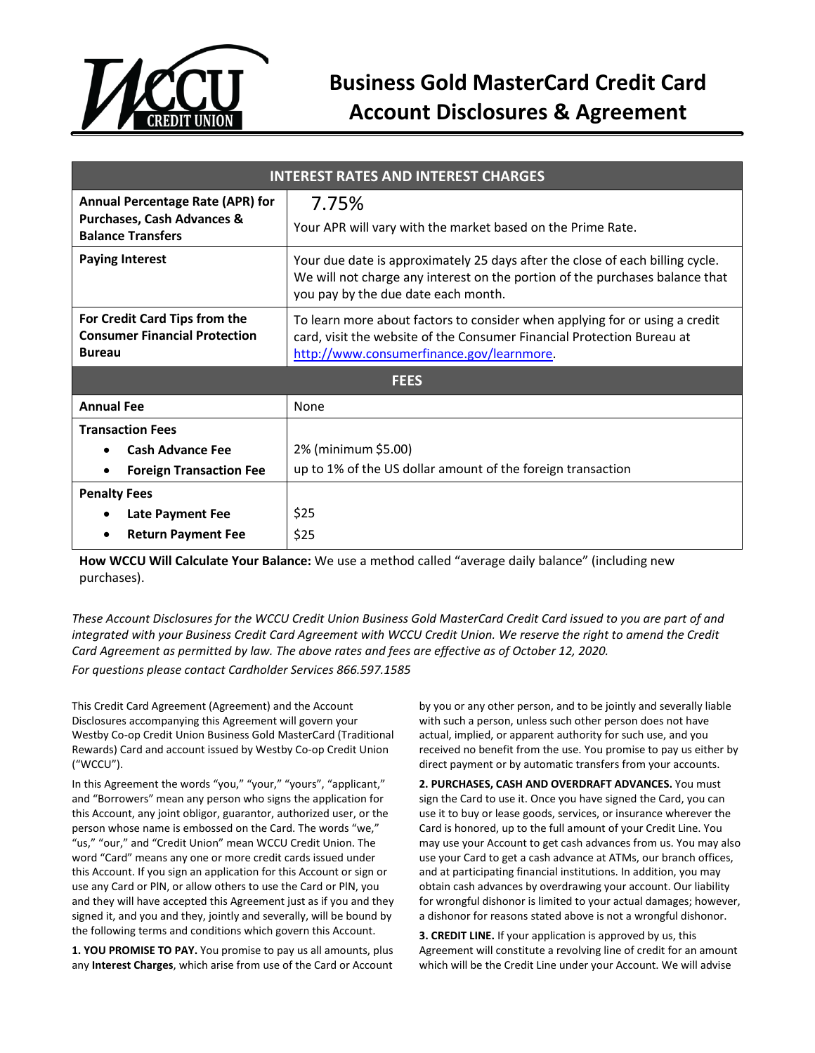

## **Business Gold MasterCard Credit Card Account Disclosures & Agreement**

| <b>INTEREST RATES AND INTEREST CHARGES</b>                                                                   |                                                                                                                                                                                                      |
|--------------------------------------------------------------------------------------------------------------|------------------------------------------------------------------------------------------------------------------------------------------------------------------------------------------------------|
| <b>Annual Percentage Rate (APR) for</b><br><b>Purchases, Cash Advances &amp;</b><br><b>Balance Transfers</b> | 7.75%<br>Your APR will vary with the market based on the Prime Rate.                                                                                                                                 |
| <b>Paying Interest</b>                                                                                       | Your due date is approximately 25 days after the close of each billing cycle.<br>We will not charge any interest on the portion of the purchases balance that<br>you pay by the due date each month. |
| For Credit Card Tips from the<br><b>Consumer Financial Protection</b><br><b>Bureau</b>                       | To learn more about factors to consider when applying for or using a credit<br>card, visit the website of the Consumer Financial Protection Bureau at<br>http://www.consumerfinance.gov/learnmore.   |
| <b>FEES</b>                                                                                                  |                                                                                                                                                                                                      |
| <b>Annual Fee</b>                                                                                            | None                                                                                                                                                                                                 |
| <b>Transaction Fees</b>                                                                                      |                                                                                                                                                                                                      |
| <b>Cash Advance Fee</b>                                                                                      | 2% (minimum \$5.00)                                                                                                                                                                                  |
| <b>Foreign Transaction Fee</b>                                                                               | up to 1% of the US dollar amount of the foreign transaction                                                                                                                                          |
| <b>Penalty Fees</b>                                                                                          |                                                                                                                                                                                                      |
| <b>Late Payment Fee</b>                                                                                      | \$25                                                                                                                                                                                                 |
| <b>Return Payment Fee</b>                                                                                    | \$25                                                                                                                                                                                                 |

**How WCCU Will Calculate Your Balance:** We use a method called "average daily balance" (including new purchases).

*These Account Disclosures for the WCCU Credit Union Business Gold MasterCard Credit Card issued to you are part of and integrated with your Business Credit Card Agreement with WCCU Credit Union. We reserve the right to amend the Credit Card Agreement as permitted by law. The above rates and fees are effective as of October 12, 2020. For questions please contact Cardholder Services 866.597.1585*

This Credit Card Agreement (Agreement) and the Account Disclosures accompanying this Agreement will govern your Westby Co-op Credit Union Business Gold MasterCard (Traditional Rewards) Card and account issued by Westby Co-op Credit Union ("WCCU").

In this Agreement the words "you," "your," "yours", "applicant," and "Borrowers" mean any person who signs the application for this Account, any joint obligor, guarantor, authorized user, or the person whose name is embossed on the Card. The words "we," "us," "our," and "Credit Union" mean WCCU Credit Union. The word "Card" means any one or more credit cards issued under this Account. If you sign an application for this Account or sign or use any Card or PlN, or allow others to use the Card or PlN, you and they will have accepted this Agreement just as if you and they signed it, and you and they, jointly and severally, will be bound by the following terms and conditions which govern this Account.

**1. YOU PROMISE TO PAY.** You promise to pay us all amounts, plus any **Interest Charges**, which arise from use of the Card or Account

by you or any other person, and to be jointly and severally liable with such a person, unless such other person does not have actual, implied, or apparent authority for such use, and you received no benefit from the use. You promise to pay us either by direct payment or by automatic transfers from your accounts.

**2. PURCHASES, CASH AND OVERDRAFT ADVANCES.** You must sign the Card to use it. Once you have signed the Card, you can use it to buy or lease goods, services, or insurance wherever the Card is honored, up to the full amount of your Credit Line. You may use your Account to get cash advances from us. You may also use your Card to get a cash advance at ATMs, our branch offices, and at participating financial institutions. In addition, you may obtain cash advances by overdrawing your account. Our liability for wrongful dishonor is limited to your actual damages; however, a dishonor for reasons stated above is not a wrongful dishonor.

**3. CREDIT LINE.** If your application is approved by us, this Agreement will constitute a revolving line of credit for an amount which will be the Credit Line under your Account. We will advise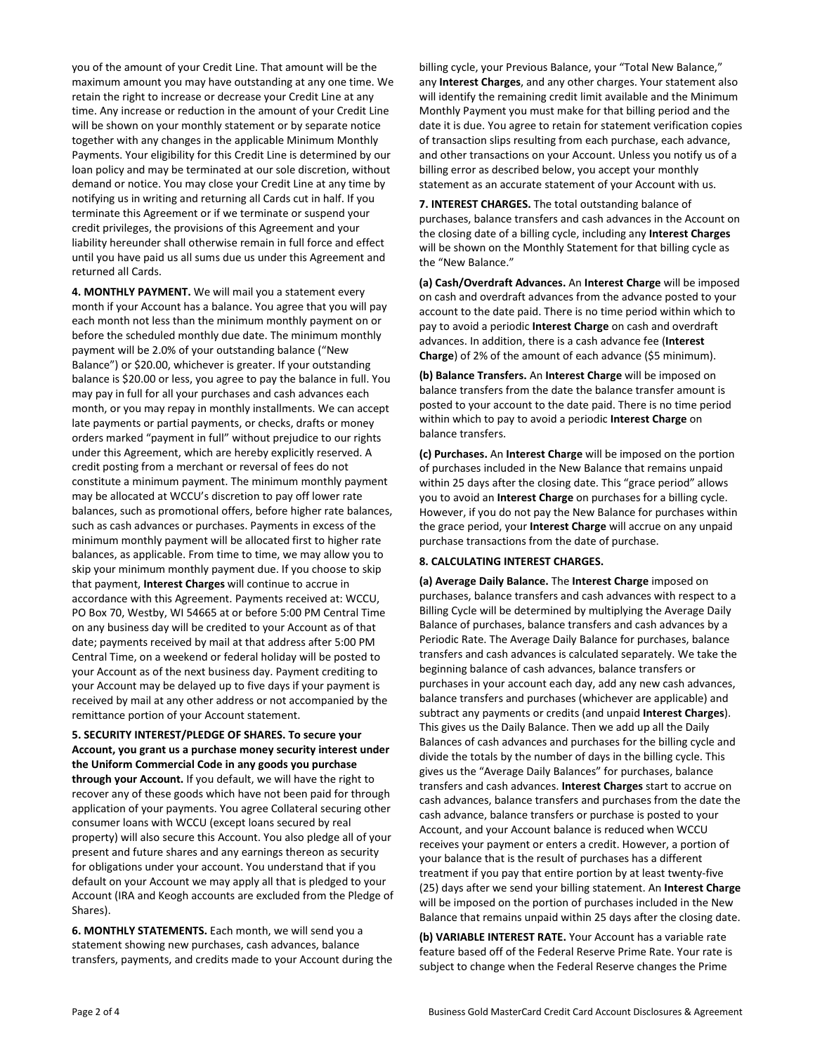you of the amount of your Credit Line. That amount will be the maximum amount you may have outstanding at any one time. We retain the right to increase or decrease your Credit Line at any time. Any increase or reduction in the amount of your Credit Line will be shown on your monthly statement or by separate notice together with any changes in the applicable Minimum Monthly Payments. Your eligibility for this Credit Line is determined by our loan policy and may be terminated at our sole discretion, without demand or notice. You may close your Credit Line at any time by notifying us in writing and returning all Cards cut in half. If you terminate this Agreement or if we terminate or suspend your credit privileges, the provisions of this Agreement and your liability hereunder shall otherwise remain in full force and effect until you have paid us all sums due us under this Agreement and returned all Cards.

**4. MONTHLY PAYMENT.** We will mail you a statement every month if your Account has a balance. You agree that you will pay each month not less than the minimum monthly payment on or before the scheduled monthly due date. The minimum monthly payment will be 2.0% of your outstanding balance ("New Balance") or \$20.00, whichever is greater. If your outstanding balance is \$20.00 or less, you agree to pay the balance in full. You may pay in full for all your purchases and cash advances each month, or you may repay in monthly installments. We can accept late payments or partial payments, or checks, drafts or money orders marked "payment in full" without prejudice to our rights under this Agreement, which are hereby explicitly reserved. A credit posting from a merchant or reversal of fees do not constitute a minimum payment. The minimum monthly payment may be allocated at WCCU's discretion to pay off lower rate balances, such as promotional offers, before higher rate balances, such as cash advances or purchases. Payments in excess of the minimum monthly payment will be allocated first to higher rate balances, as applicable. From time to time, we may allow you to skip your minimum monthly payment due. If you choose to skip that payment, **Interest Charges** will continue to accrue in accordance with this Agreement. Payments received at: WCCU, PO Box 70, Westby, WI 54665 at or before 5:00 PM Central Time on any business day will be credited to your Account as of that date; payments received by mail at that address after 5:00 PM Central Time, on a weekend or federal holiday will be posted to your Account as of the next business day. Payment crediting to your Account may be delayed up to five days if your payment is received by mail at any other address or not accompanied by the remittance portion of your Account statement.

**5. SECURITY INTEREST/PLEDGE OF SHARES. To secure your Account, you grant us a purchase money security interest under the Uniform Commercial Code in any goods you purchase through your Account.** If you default, we will have the right to recover any of these goods which have not been paid for through application of your payments. You agree Collateral securing other consumer loans with WCCU (except loans secured by real property) will also secure this Account. You also pledge all of your present and future shares and any earnings thereon as security for obligations under your account. You understand that if you default on your Account we may apply all that is pledged to your Account (IRA and Keogh accounts are excluded from the Pledge of Shares).

**6. MONTHLY STATEMENTS.** Each month, we will send you a statement showing new purchases, cash advances, balance transfers, payments, and credits made to your Account during the billing cycle, your Previous Balance, your "Total New Balance," any **Interest Charges**, and any other charges. Your statement also will identify the remaining credit limit available and the Minimum Monthly Payment you must make for that billing period and the date it is due. You agree to retain for statement verification copies of transaction slips resulting from each purchase, each advance, and other transactions on your Account. Unless you notify us of a billing error as described below, you accept your monthly statement as an accurate statement of your Account with us.

**7. INTEREST CHARGES.** The total outstanding balance of purchases, balance transfers and cash advances in the Account on the closing date of a billing cycle, including any **Interest Charges** will be shown on the Monthly Statement for that billing cycle as the "New Balance."

**(a) Cash/Overdraft Advances.** An **Interest Charge** will be imposed on cash and overdraft advances from the advance posted to your account to the date paid. There is no time period within which to pay to avoid a periodic **Interest Charge** on cash and overdraft advances. In addition, there is a cash advance fee (**Interest Charge**) of 2% of the amount of each advance (\$5 minimum).

**(b) Balance Transfers.** An **Interest Charge** will be imposed on balance transfers from the date the balance transfer amount is posted to your account to the date paid. There is no time period within which to pay to avoid a periodic **Interest Charge** on balance transfers.

**(c) Purchases.** An **Interest Charge** will be imposed on the portion of purchases included in the New Balance that remains unpaid within 25 days after the closing date. This "grace period" allows you to avoid an **Interest Charge** on purchases for a billing cycle. However, if you do not pay the New Balance for purchases within the grace period, your **Interest Charge** will accrue on any unpaid purchase transactions from the date of purchase.

## **8. CALCULATING INTEREST CHARGES.**

**(a) Average Daily Balance.** The **Interest Charge** imposed on purchases, balance transfers and cash advances with respect to a Billing Cycle will be determined by multiplying the Average Daily Balance of purchases, balance transfers and cash advances by a Periodic Rate. The Average Daily Balance for purchases, balance transfers and cash advances is calculated separately. We take the beginning balance of cash advances, balance transfers or purchases in your account each day, add any new cash advances, balance transfers and purchases (whichever are applicable) and subtract any payments or credits (and unpaid **Interest Charges**). This gives us the Daily Balance. Then we add up all the Daily Balances of cash advances and purchases for the billing cycle and divide the totals by the number of days in the billing cycle. This gives us the "Average Daily Balances" for purchases, balance transfers and cash advances. **Interest Charges** start to accrue on cash advances, balance transfers and purchases from the date the cash advance, balance transfers or purchase is posted to your Account, and your Account balance is reduced when WCCU receives your payment or enters a credit. However, a portion of your balance that is the result of purchases has a different treatment if you pay that entire portion by at least twenty-five (25) days after we send your billing statement. An **Interest Charge** will be imposed on the portion of purchases included in the New Balance that remains unpaid within 25 days after the closing date.

**(b) VARIABLE INTEREST RATE.** Your Account has a variable rate feature based off of the Federal Reserve Prime Rate. Your rate is subject to change when the Federal Reserve changes the Prime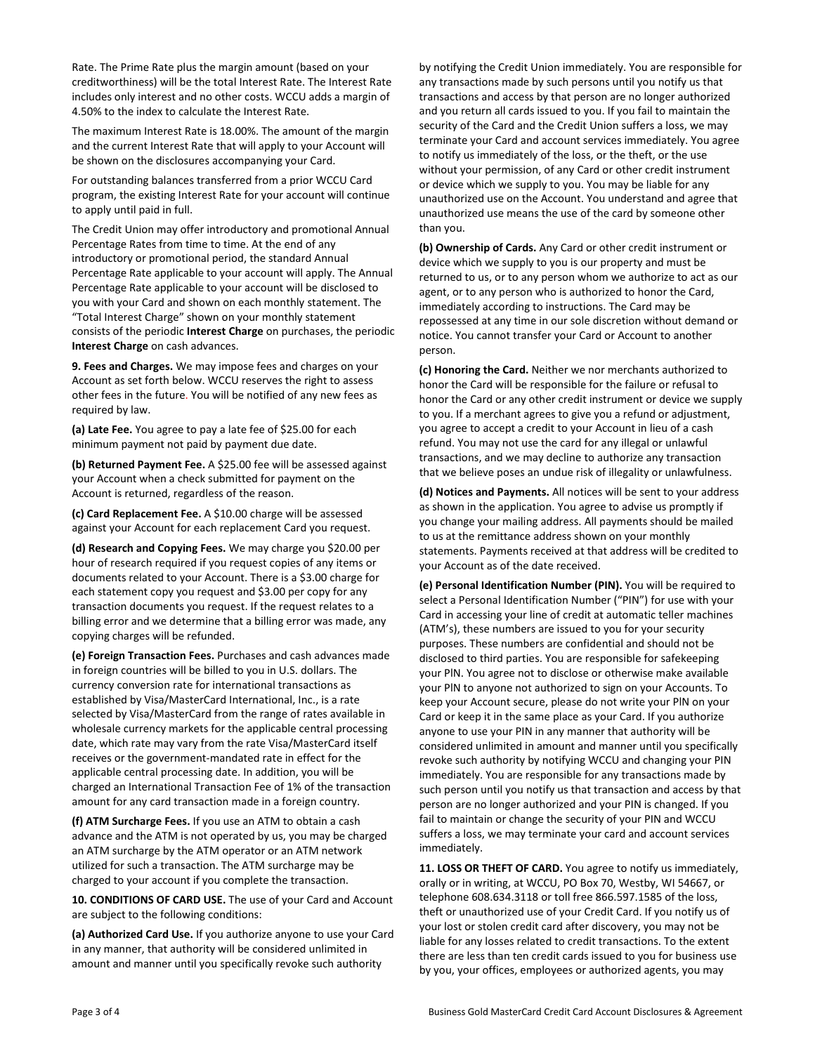Rate. The Prime Rate plus the margin amount (based on your creditworthiness) will be the total Interest Rate. The Interest Rate includes only interest and no other costs. WCCU adds a margin of 4.50% to the index to calculate the Interest Rate.

The maximum Interest Rate is 18.00%. The amount of the margin and the current Interest Rate that will apply to your Account will be shown on the disclosures accompanying your Card.

For outstanding balances transferred from a prior WCCU Card program, the existing Interest Rate for your account will continue to apply until paid in full.

The Credit Union may offer introductory and promotional Annual Percentage Rates from time to time. At the end of any introductory or promotional period, the standard Annual Percentage Rate applicable to your account will apply. The Annual Percentage Rate applicable to your account will be disclosed to you with your Card and shown on each monthly statement. The "Total Interest Charge" shown on your monthly statement consists of the periodic **Interest Charge** on purchases, the periodic **Interest Charge** on cash advances.

**9. Fees and Charges.** We may impose fees and charges on your Account as set forth below. WCCU reserves the right to assess other fees in the future. You will be notified of any new fees as required by law.

**(a) Late Fee.** You agree to pay a late fee of \$25.00 for each minimum payment not paid by payment due date.

**(b) Returned Payment Fee.** A \$25.00 fee will be assessed against your Account when a check submitted for payment on the Account is returned, regardless of the reason.

**(c) Card Replacement Fee.** A \$10.00 charge will be assessed against your Account for each replacement Card you request.

**(d) Research and Copying Fees.** We may charge you \$20.00 per hour of research required if you request copies of any items or documents related to your Account. There is a \$3.00 charge for each statement copy you request and \$3.00 per copy for any transaction documents you request. If the request relates to a billing error and we determine that a billing error was made, any copying charges will be refunded.

**(e) Foreign Transaction Fees.** Purchases and cash advances made in foreign countries will be billed to you in U.S. dollars. The currency conversion rate for international transactions as established by Visa/MasterCard International, Inc., is a rate selected by Visa/MasterCard from the range of rates available in wholesale currency markets for the applicable central processing date, which rate may vary from the rate Visa/MasterCard itself receives or the government-mandated rate in effect for the applicable central processing date. In addition, you will be charged an International Transaction Fee of 1% of the transaction amount for any card transaction made in a foreign country.

**(f) ATM Surcharge Fees.** If you use an ATM to obtain a cash advance and the ATM is not operated by us, you may be charged an ATM surcharge by the ATM operator or an ATM network utilized for such a transaction. The ATM surcharge may be charged to your account if you complete the transaction.

**10. CONDITIONS OF CARD USE.** The use of your Card and Account are subject to the following conditions:

**(a) Authorized Card Use.** If you authorize anyone to use your Card in any manner, that authority will be considered unlimited in amount and manner until you specifically revoke such authority

by notifying the Credit Union immediately. You are responsible for any transactions made by such persons until you notify us that transactions and access by that person are no longer authorized and you return all cards issued to you. If you fail to maintain the security of the Card and the Credit Union suffers a loss, we may terminate your Card and account services immediately. You agree to notify us immediately of the loss, or the theft, or the use without your permission, of any Card or other credit instrument or device which we supply to you. You may be liable for any unauthorized use on the Account. You understand and agree that unauthorized use means the use of the card by someone other than you.

**(b) Ownership of Cards.** Any Card or other credit instrument or device which we supply to you is our property and must be returned to us, or to any person whom we authorize to act as our agent, or to any person who is authorized to honor the Card, immediately according to instructions. The Card may be repossessed at any time in our sole discretion without demand or notice. You cannot transfer your Card or Account to another person.

**(c) Honoring the Card.** Neither we nor merchants authorized to honor the Card will be responsible for the failure or refusal to honor the Card or any other credit instrument or device we supply to you. If a merchant agrees to give you a refund or adjustment, you agree to accept a credit to your Account in lieu of a cash refund. You may not use the card for any illegal or unlawful transactions, and we may decline to authorize any transaction that we believe poses an undue risk of illegality or unlawfulness.

**(d) Notices and Payments.** All notices will be sent to your address as shown in the application. You agree to advise us promptly if you change your mailing address. All payments should be mailed to us at the remittance address shown on your monthly statements. Payments received at that address will be credited to your Account as of the date received.

**(e) Personal Identification Number (PIN).** You will be required to select a Personal Identification Number ("PIN") for use with your Card in accessing your line of credit at automatic teller machines (ATM's), these numbers are issued to you for your security purposes. These numbers are confidential and should not be disclosed to third parties. You are responsible for safekeeping your PlN. You agree not to disclose or otherwise make available your PlN to anyone not authorized to sign on your Accounts. To keep your Account secure, please do not write your PlN on your Card or keep it in the same place as your Card. If you authorize anyone to use your PIN in any manner that authority will be considered unlimited in amount and manner until you specifically revoke such authority by notifying WCCU and changing your PIN immediately. You are responsible for any transactions made by such person until you notify us that transaction and access by that person are no longer authorized and your PIN is changed. If you fail to maintain or change the security of your PIN and WCCU suffers a loss, we may terminate your card and account services immediately.

**11. LOSS OR THEFT OF CARD.** You agree to notify us immediately, orally or in writing, at WCCU, PO Box 70, Westby, WI 54667, or telephone 608.634.3118 or toll free 866.597.1585 of the loss, theft or unauthorized use of your Credit Card. If you notify us of your lost or stolen credit card after discovery, you may not be liable for any losses related to credit transactions. To the extent there are less than ten credit cards issued to you for business use by you, your offices, employees or authorized agents, you may